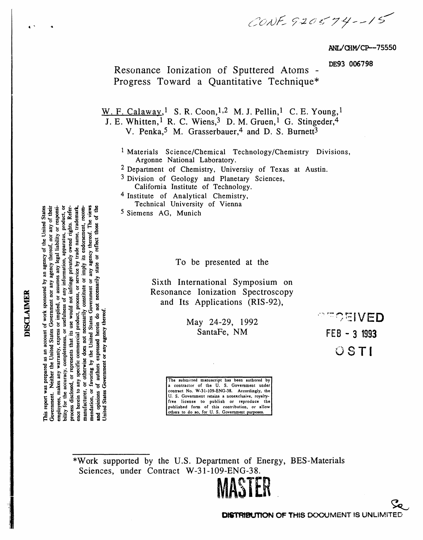CONF 920574--15

ANL/CHM/CP--75550

DE93 006798

Resonance Ionization of Sputtered Atoms -Progress Toward a Quantitative Technique\*

W. F. Calaway,<sup>1</sup> S. R. Coon,<sup>1,2</sup> M. J. Pellin,<sup>1</sup> C. E. Young,<sup>1</sup>

J. E. Whitten, <sup>1</sup> R. C. Wiens, <sup>3</sup> D. M. Gruen, <sup>1</sup> G. Stingeder, <sup>4</sup>

V. Penka,<sup>5</sup> M. Grasserbauer,<sup>4</sup> and D. S. Burnett<sup>3</sup>

<sup>1</sup> Materials Science/Chemical Technology/Chemistry Divisions, Argonne National Laboratory.

<sup>2</sup> Department of Chemistry, University of Texas at Austin.

<sup>3</sup> Division of Geology and Planetary Sciences, California Institute of Technology.

<sup>4</sup> Institute of Analytical Chemistry, Technical University of Vienna

<sup>5</sup> Siemens AG, Munich

To be presented at the

Sixth International Symposium on Resonance Ionization Spectroscopy and Its Applications (RIS-92),

> May 24-29, 1992 SantaFe, NM

**PECEIVED** FEB - 3 1993  $OSTI$ 

The submitted manuscript has been authored by a contractor of the U.S. Government under<br>contract No. W-31-109-ENG-38. Accordingly, the U. S. Government retains a nonexclusive, royaltyfree license to publish or reproduce the published form of this contribution, or allow others to do so, for U.S. Government purposes

\*Work supported by the U.S. Department of Energy, BES-Materials Sciences, under Contract W-31-109-ENG-38.



**DISCLAIMER** 

an account of work sponsored by an agency of the United States Government. Neither the United States Government nor any agency thereof, nor any of their employees, makes any warranty, express or implied, or assumes any legal liability or responsiowned rights. Refer trade name, trademark constitute or imply its endorsement, recomor reflect those agency thereof. apparatus, or usefulness of any information, গ্ৰ necessarily state or service process disclosed, or represents that its use would not infringe  $\overline{\mathbf{o}}$ or favoring by the United States Government herein to any specific commercial product, process, opinions of authors expressed herein do not not necessarily any agency thereo for the accuracy, completen otherwise does Jnited States Government or This report was prepared as  $\overline{\sigma}$ manufacturer, mendation, bility  $rac{1}{6}$ ផ្ល

product, or

៵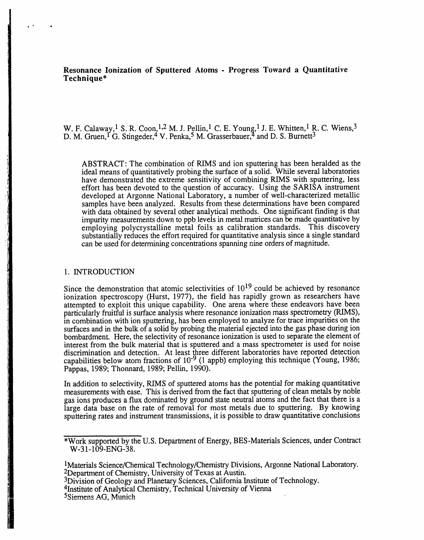**R**e**s**o**nance Ionization of Sputtered** A**toms - Progr**e**ss To**w**ard a Quantitativ**e **Tec**h**nique\***

W. F. Calaway, 1 S. R. Coon.<sup>4,2</sup> M. J. Pellin, <sup>2</sup> C. E. Young, 1 J. E. Willitell, <sup>2</sup> R. C. Wiells, 3 D. M. Gruen, <sup>1</sup> G. Stingeder, <sup>4</sup> V. Penka,<sup>5</sup> M. Grasserbauer, <sup>4</sup> and D. S. Burnett<sup>5</sup>

ABSTRACT: The combination of RIMS and ion sputtering has been heralded as the ideal means of quantitatively probing the surface of a solid. While several laboratories have demonstrated the extreme sensitivity of combining RIMS with sputtering, less effort has been devoted to the question of accuracy. Using the SARISA instrument developed at Argonne National Laboratory, a number of well-characterized metallic samples have been analyzed. Results from these determinations have been compared with data obtained by several other analytical methods. One significant finding is that impurity measurements down to ppb levels in metal matrices can be made quantitative by employing polycrystalline metal foils as calibration standards. This discovery substantially reduces the effort required for quantitative analysis since a single standard can be used for determining concentrations spanning nine orders of mag*n*itude.

# **1**. INTRODUCTION

• \*t

Since the demonstration that atomic selectivities of  $10^{19}$  could be achieved by resonance ionization spectroscopy (Hurst, 1977), the field has rapidly grown as researchers have attempted to exploit this unique capability. One arena where these endeavors have been particularly fruitful is surface analysis where resonance ionization mass spectrometry (RIMS), in combination with ion sputtering, has been employed to analyze for trace impurities on the surfaces and in the bulk of a solid by probing the material ejected into the gas phase during ion bombardment. Here, the selectivity of resonance ionization is used to separate the element of interest from the bulk material that is sputtered and a mass spectrometer is used for noise discrimination and detection. At least three different laboratories have reported detection capabilities below atom fractions of  $10^{-9}$  (1 appb) employing this technique (Young, 1986; Pappas, 1989; Thonnard, 1989; Pellin, 1990).

In addition to selectivity, RIMS of sputtered atoms has the potential for making quantitative measurements with ease. This is derived from the fact that sputtering of clean metals by noble measurements with ease. I his is derived from the fact that sputtering of clean metals by noble gas ions produces a flux do*m*inated by ground state neutral atoms and the fact that there is a large data base on the rate of removal for most metals due to sputtering. By knowing spu*t*tering rates and instrument transmissions, it is possible to draw quantitative conclusions

1Materials Science*/*Chemical Technology*/*Chemistry Divisions, Argonne National Laboratory. 2Department of Chemistry, University of Texas at Austin.

3Division of Geology and Planetary Sciences, California Institute of Technology.

4institute of Analytical Chemistry, Techn**i**cal University **o**f Vienna

5Siemens AG, *M*unich

**I** 

**<sup>\*</sup>**Work supported by the U.S. Department of Energy, BES**-**Materials Sciences, under Contract W-31-109-ENG-38.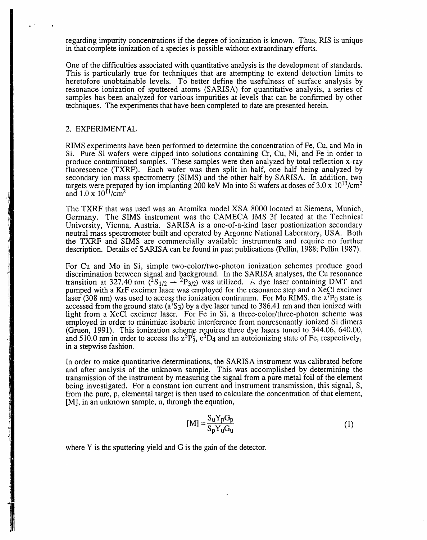regarding impurity concentrations if the degree of ionization is known. Thus, RIS is unique in that complete ionization of a species is possible without extraordinary effort*s*.

One of the difficulties associated with quantitative analysis is the development of standards. This is particularly true for techniques that are attempting to extend detection limits to heretofore unobtainable levels. To better define the usefulness of surface analysis by resonance ionization of sputtered atoms (SARISA) for quantitative analysis, a series of samples has been analyzed for various impurities at levels that can be confirmed by other tech*n*iques. The experiments that have been completed to date are presented herein.

### 2. EXPERIMEN**T**AL

RIMS experiments have been performed to determine the concentration of Fe, Cu, and Mo in Si. Pure Si wafers were dipped into solutions containing Cr, Cu, Ni, and Fe in order to produce contaminated samples. These samples were then analyzed by total reflection x-ray fluorescence (TXRF). Each wafer was then split in half, one half being analyzed by secondary ion mass spectrometry (SIMS) and the other half by SARISA. In addition, two targets were prepared by ion implanting 200 kev Mo into Si wafers at doses of 3.0 x 1013*/*cm2 and  $1.0 \times 10^{11}/\text{cm}^2$ 

The TXRF that was used was an Atomika model XSA 8000 located at Siemens, Munich, Germany. The SIMS instrument was the CAMECA IMS 3f located at the Technical University*,* Vienna*,* Austria. SARISA is a one-of-a-kind laser postionization secondary neutral mass spectrometer built and operated by Argonne National Laboratory, USA. Both the TXRF and SIMS are commercially availabl*e* instruments and require no further description. Details of SARISA can be found in past publications (Pellin*,* 1988; Pellin 1987).

For Cu and Mo in Si, simple two-color*/*two-photon ionization schemes produce good discrimination between signal and background. In the SARISA analyses*,* the Cu resonance transition at  $327.40$  nm ( $51/2$   $+$   $2P3/2$ ) was utilized. A dye laser containing DMT and pumped with a KrF excimer laser was employed for the resonance step and a XeCl excimer laser (308 nm) was used to access the ionization continuum. For Mo RIMS, the  $z^7P_0$  state is accessed from the ground state ( $a^{7}S_3$ ) by a dye laser tuned to 386.41 nm and then ionized with light from a XeC1 excimer laser. For Fe in Si, a three-color*/*three-photon scheme was employed in order to minimize isobaric interference from nonresonantly ionized Si dimers (Gruen, 1991). This ionization scheme requires three dye lasers tuned to 344.06, 640.00<sup>,</sup> 640.00*,* 640.00*,* 640.000 and  $510.0$  nm in order to access the  $z^5P_3$ ,  $e^3D_4$  and an autoionizing state of Fe, respectively in a stepwise fashion.

In order to make quantitative determinations, the SARISA instrument was calibrated before and after analysis of the unknown sample. This was accomplished by determining the transmission of the instrument by measuring the signal from a pure metal foil of the element being investigated. For a constant ion current and instrument transmission, this signal, S, from the pure*,* p*,* elemental target is then used to calculate the concentration of that element*,* [M], in an unknown sample*,* u*,* through the equation,

$$
[\mathbf{M}] = \frac{\mathbf{S}_{\mathbf{u}} \mathbf{Y}_{\mathbf{p}} \mathbf{G}_{\mathbf{p}}}{\mathbf{S}_{\mathbf{p}} \mathbf{Y}_{\mathbf{u}} \mathbf{G}_{\mathbf{u}}}
$$
 (1)

where Y is the sputtering yield and G is the gain of the detector.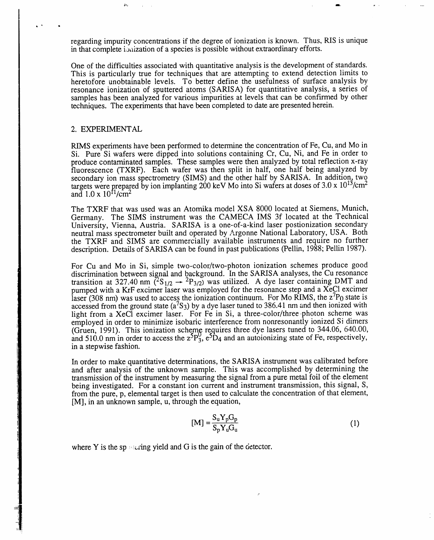regarding impurity concentrations if the degree of ionization is known. Thus, RIS is unique in that complete ioaization of a species is possible without extraordinary efforts.

One of the difficulties associated with quantitative analysis is the development of standards. This is particularly true for techniques that are attempting to extend detection limits to heretofore unobtainable levels. To better define the usefulness of surface analysis by resonance ionization of sputtered atoms (SARISA) for quantitative analysis, a series of samples has been analyzed for various impurities at levels that can be confirmed by other techniques. The experiments that have been completed to date are presented herein.

### 2. EXPERIMENT AL

RIMS experiments have been performed to determine the concentration of Fe, Cu, and Mo in Si. Pure Si wafers were dipped into solutions containing Cr, Cu, Ni, and Fe in order to produce contaminated samples. These samples were then analyzed by total reflection x-ray fluorescence (TXRF). Each wafer was then sp**l**it in half, one half being analyzed by secondary ion mass spectrometry (SIMS) and the other half by SARISA. In addition, two targets were *o*repared by ion implanting 200 keV Mo into Si wafers at doses of 3.0 x **1**0**1**3*/*cm2 and  $1.0 \times 10^{11}$ /cm<sup>2</sup>

The TXRF that was used was an Atomika model XSA 8000 located at Siemens, Munich, Germany. The SIMS instrument was the CAMECA IMS 3f located at the Technical University, Vienna, Austria. SARISA is a one-of-a-kind laser postionization secondary neutral mass spectrometer built and operated by Argonne National Laboratory, USA. Both the TXRF and SIMS are commercially available instruments and require no further description. Details of SARISA can be found in past publications (Pellin, 1988; Pellin 1987).

For Cu and Mo in Si, simple two-color*/*two-photon ionization schemes produce good discrimination between signal and background. In the SARISA analyses, the Cu resonance transition at 327.40 nm ( $^{2}S_{1/2} \rightarrow {^{2}P_{3/2}}$ ) was utilized. A dye laser containing DMT and pumped with a KrF excimer laser was employed for the resonance step and a XeCl excimer laser (308 nm) was used to access the ionization continuum. For Mo RIMS, the  $z'P_0$  state is accessed from the ground state  $(a^{7}S_3)$  by a dye laser tuned to 386.41 nm and then ionized with light from a XeCl excimer laser. For Fe in Si, a three-color/three photon scheme was employed in order to minimize isobaric interference from nonresonantly ionized Si dimers (Gruen, 199**1**). This ionization scheme requires three dye lasers tuned to 344.06, 640.00, and  $510.0$  nm in order to access the  $z^2P_3$ ,  $e^2D_4$  and an autoionizing state of Fe, respectively in a stepwise fashion.

In order to make quantitative determinations, the SARISA instrument was calibrated before and after analysis of the unknown sample. This was accomplished by determining the transmission of the instrument by measuring the signal from a pure metal foil of the element being investigated. For a constant ion current and instrument transmission, this signal, S, from the pure, p, elemental target is then used to calculate the concentration of that element, [M], in an unknown sample, u, through the equation,

$$
[\mathbf{M}] = \frac{\mathbf{S}_{\mathbf{u}} \mathbf{Y}_{\mathbf{p}} \mathbf{G}_{\mathbf{p}}}{\mathbf{S}_{\mathbf{p}} \mathbf{Y}_{\mathbf{u}} \mathbf{G}_{\mathbf{u}}} \tag{1}
$$

where Y is the spectring yield and G is the gain of the detector.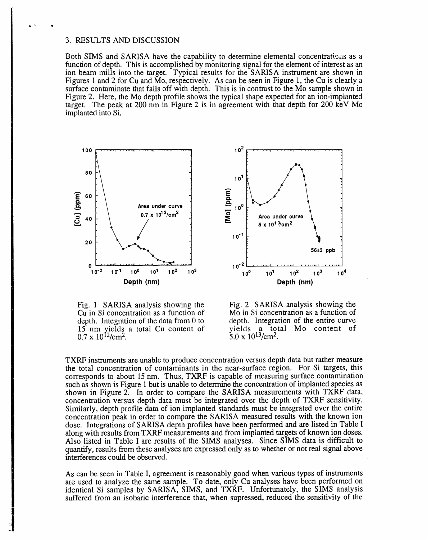# 3. RESULTS AND DISCUSSION

• **•** Q

Both SIMS and SARISA have the capability to determine elemental concentrations as a function of depth. This is accomplished by monitoring signal for the element of interest as an ion beam mills into the target. Typical results for the SARISA instrument are shown in Figures 1 and 2 for Cu and Mo, respectively. As can be seen in Figure 1, the Cu is clearly a surface contaminate that falls off with depth. This is in contrast to the Mo sample shown in Figure 2. Here, the Mo depth profile shows the typical shape expected for an ion-implanted target. The peak at 200 nm in Figure 2 is in agreement with that depth for 200 keV Mo implanted into Si.



Fig. 1 SARISA analysis showing the Fig. 2 SARISA analysis showing the Cu in Si concentration as a function of Mo in Si concentration as a function of Cu in Si concentration as a function of Mo in Si concentration as a function of depth. Integration of the entire curve depth. Integration of the data from 0 to depth. Integration of the entire curve 15 nm yields a total Cu content of yields a total Mo content of 15 nm yields a total Cu content of yields a total  $0.7 \times 10^{12}/\text{cm}^2$ .<br>  $5.0 \times 10^{13}/\text{cm}^2$ .  $0.7 \times 10^{12}$ /cm<sup>2</sup>.



TXRF instruments are unable to produce concentration versus depth data but rather measure the total concentration of contaminants in the near-surface region. For Si targets, this corresponds to about 15 nm. Thus, TXRF is capable of measuring surface contamination such as shown is Figure 1 but is unable to determine the concentration of implanted species as shown in Figure 2. In order to compare the SARISA measurements with TXRF data, concentration versus depth data must be integrated over the depth of TXRF sensitivity. Similarly, depth profile data of ion implanted standards must be integrated over the entire concentration peak in order to compare the SARISA measured results with the known ion dose. Integrations of SARISA depth profiles have been performed and are listed in Table I along with results from TXRF measurements and from implanted targets of known ion doses. Also listed in Table I are results of the SIMS analyses. Since SIMS data is difficult to quantify, results from these analyses are expressed only as to whether or not real signal above interferences could be observed.

As can be seen in Table I, agreement is reasonably good when various types of instruments are used to analyze the same sample. To date, only Cu analyses have been performed on identical Si samples by SARISA, SIMS, and TXRF. Unfortunately, the SIMS analysis suffered from an isobaric interference that, when supressed, reduced the sensitivity of the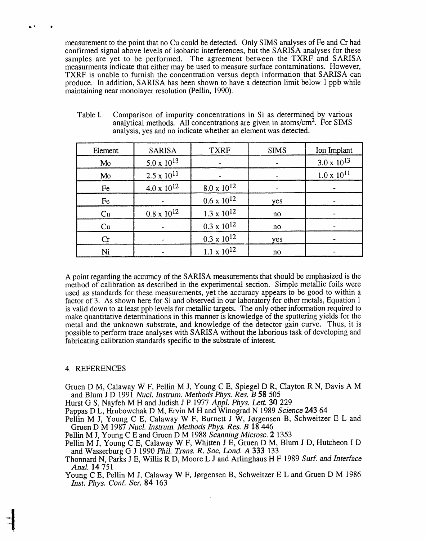measurement to the point that no Cu could be detected. Only SIMS analyses of Fe and Cr had confirmed signal above levels of isobaric interferences, but the SARISA analyses for these samples are yet to be performed. The agreement between the TXRF and SARISA measurments indicate that either may be used to measure surface contaminations. However, TXRF is unable to furnish the concentration versus depth information that SARISA can produce. In addition, SARISA has been shown to have a detection limit below 1 ppb while maintaining near monolayer resolution (Pellin, 1990).

| Element | <b>SARISA</b>        | <b>TXRF</b>          | <b>SIMS</b> | Ion Implant          |
|---------|----------------------|----------------------|-------------|----------------------|
| Mo      | $5.0 \times 10^{13}$ |                      |             | $3.0 \times 10^{13}$ |
| Mo      | $2.5 \times 10^{11}$ |                      |             | $1.0 \times 10^{11}$ |
| Fe      | $4.0 \times 10^{12}$ | $8.0 \times 10^{12}$ |             | ٠                    |
| Fe      |                      | $0.6 \times 10^{12}$ | yes         | $\blacksquare$       |
| Cu      | $0.8 \times 10^{12}$ | $1.3 \times 10^{12}$ | no          |                      |
| Cu      |                      | $0.3 \times 10^{12}$ | no          |                      |
| Cr      |                      | $0.3 \times 10^{12}$ | yes         |                      |
| Ni      |                      | $1.1 \times 10^{12}$ | no          |                      |

Table I. Comparison of impurity concentrations in Si as determined by various analytical methods. All concentrations are given in atoms/cm<sup>2</sup>. For SIMS analysis, yes and no indicate whether an element was detected.

A point regarding the accuracy of the SARISA measurements that should be emphasized is the method of calibration as described in the experimental section. Simple metallic foils were used as standards for these measurements, yet the accuracy appears to be good to within a factor of 3. *A*s shown here for Si and observed in our laboratory for other metals, Equation 1 is valid down to at least ppb levels for metallic targets. The only other information required to make quantitative determinations in this manner is knowledge of the sputtering yields for the metal and the unknown substrate, and knowledge of the detector gain curve. Thus, it is possible to perform trace analyses with SARISA without the laborious task of developing and fabricating calibration standards specific to the substrate of interest.

## 4. REFERENCES

Gruen D M, Calaway W F, Pellin M J, Young C E, Spiegel D R, Clayton R N, Davis A M and Blum J D 1991 *Nucl Instru*m. *Methods Phys*. *R*e*s*. *B* 58 505

Hurst G S, Nayfeh M H and Judish J P 1977 *Appl*. *Phys*. *L*e*tt*. 30 229

Pappas D L, Hrubowchak D M, Ervin M H and Winograd N 1989 *Sci*e*nc*e 243 64

Pellin M J, Young C E, Calaway W F, Burnett J W, Jørgensen B, Schweitzer E L and Gruen D M 1987 *Nucl Inst*r*um*. *M*e*thods Phys*. *R*e*s*. *B* 18 446

Pellin M J, Young C E and Gruen D M 1988 *Sc*a*nning Microsc*. 2 1353

Pellin M J, Young C E, Calaway W F, Whitten J E, Gruen D M, Blum J D, Hutcheon I D and Wasserburg G J 1990 *Phil*. *Tr*an*s*. *R*. *Soc*. *Lo*n*d*. *A* 333 133

Thonnard N, Parks J E, Willis R D, Moore L J and Arlinghaus H F 1989 *Surf*. a*nd Interfac*e *A*na*l*. 14 751

Young C E, Pellin M J, Calaway W F, J¢rgensen B, Schweitzer E L and Gruen D M 1986 *Inst*. *Phys*. *Con*£ *S*e*r*. 84 163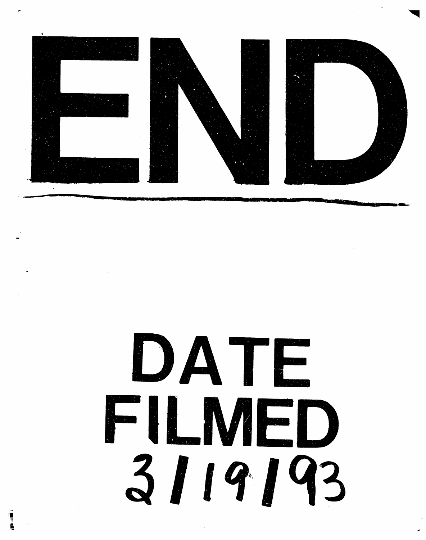

# DATE FILMED  $3119193$